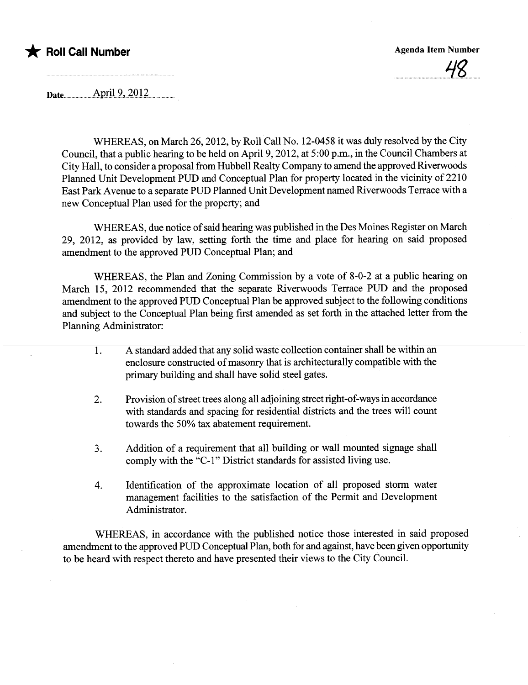

uu u uuu.uu.uuu.uuu'i gu.u

Date **April** 9, 2012

WHEREAS, on March 26,2012, by Roll Call No. 12-0458 it was duly resolved by the City Council, that a public hearng to be held on April 9, 2012, at 5:00 p.m., in the Council Chambers at City Hall, to consider a proposal from Hubbell Realty Company to amend the approved Riverwoods Planned Unit Development PUD and Conceptual Plan for property located in the vicinity of 2210 East Park Avenue to a separate PUD Planned Unit Development named Riverwoods Terrace with a new Conceptual Plan used for the property; and

WHEREAS, due notice of said hearing was published in the Des Moines Register on March 29, 2012, as provided by law, setting forth the time and place for hearing on said proposed amendment to the approved PUD Conceptual Plan; and

WHEREAS, the Plan and Zoning Commission by a vote of 8-0-2 at a public hearing on March 15, 2012 recommended that the separate Riverwoods Terrace PUD and the proposed amendment to the approved PUD Conceptual Plan be approved subject to the following conditions and subject to the Conceptual Plan being first amended as set forth in the attached letter from the Planing Administrator:

- 1. A standard added that any solid waste collection container shall be within an enclosure constructed of masonry that is architecturally compatible with the primary building and shall have solid steel gates.
- 2. Provision of street trees along all adjoinig street right-of-ways in accordance with standards and spacing for residential districts and the trees will count towards the 50% tax abatement requirement.
- 3. Addition of a requirement that all building or wall mounted signage shall comply with the "C-l" District standards for assisted living use.
- 4. Identification of the approximate location of all proposed storm water management facilities to the satisfaction of the Permit and Development Administrator.

WHEREAS, in accordance with the published notice those interested in said proposed amendment to the approved PUD Conceptual Plan, both for and against, have been given opportunity to be heard with respect thereto and have presented their views to the City CounciL.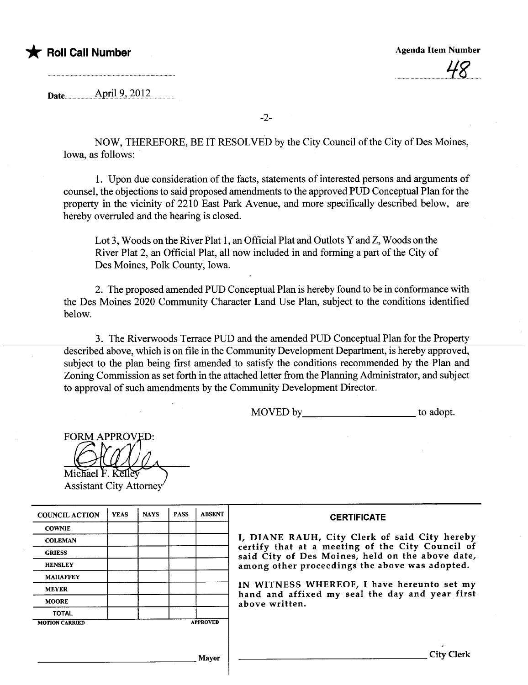

.  $\overline{\phantom{a}}$ 

Date.u... .u..u...uu.Ap.r.U.9.,7QQu...uu

-2-

NOW, THEREFORE, BE IT RESOLVED by the City Council of the City of Des Moines, Iowa, as follows:

1. Upon due consideration of the facts, statements of interested persons and arguments of counsel, the objections to said proposed amendments to the approved PUD Conceptual Plan for the property in the vicinity of 2210 East Park Avenue, and more specifically described below, are hereby overruled and the hearing is closed.

Lot 3, Woods on the River Plat 1, an Official Plat and Outlots Y and Z, Woods on the River Plat 2, an Official Plat, all now included in and forming a part of the City of Des Moines, Polk County, Iowa.

2. The proposed amended PUD Conceptual Plan is hereby found to be in conformance with the Des Moines 2020 Communty Character Land Use Plan, subject to the conditions identified below.

3. The Riverwoods Terrace PUD and the amended PUD Conceptual Plan for the Property described above, which is on file in the Community Development Department, is hereby approved, subject to the plan being first amended to satisfy the conditions recommended by the Plan and Zoning Commission as set forth in the attached letter from the Planning Administrator, and subject to approval of such amendments by the Community Development Director.

MOVED by to adopt.

**FORM APPROVED:** 

Michael F. Kelle **Assistant City Attorney** 

| <b>COUNCIL ACTION</b> | <b>YEAS</b> | <b>NAYS</b> | <b>PASS</b> | <b>ABSENT</b>   | <b>CERTIFICATE</b>                                                                                   |
|-----------------------|-------------|-------------|-------------|-----------------|------------------------------------------------------------------------------------------------------|
| <b>COWNIE</b>         |             |             |             |                 |                                                                                                      |
| <b>COLEMAN</b>        |             |             |             |                 | I, DIANE RAUH, City Clerk of said City hereby                                                        |
| <b>GRIESS</b>         |             |             |             |                 | certify that at a meeting of the City Council of<br>said City of Des Moines, held on the above date, |
| <b>HENSLEY</b>        |             |             |             |                 | among other proceedings the above was adopted.                                                       |
| <b>MAHAFFEY</b>       |             |             |             |                 |                                                                                                      |
| <b>MEYER</b>          |             |             |             |                 | IN WITNESS WHEREOF, I have hereunto set my<br>hand and affixed my seal the day and year first        |
| <b>MOORE</b>          |             |             |             |                 | above written.                                                                                       |
| <b>TOTAL</b>          |             |             |             |                 |                                                                                                      |
| <b>MOTION CARRIED</b> |             |             |             | <b>APPROVED</b> |                                                                                                      |
|                       |             |             |             |                 |                                                                                                      |
|                       |             |             |             | Mayor           | City                                                                                                 |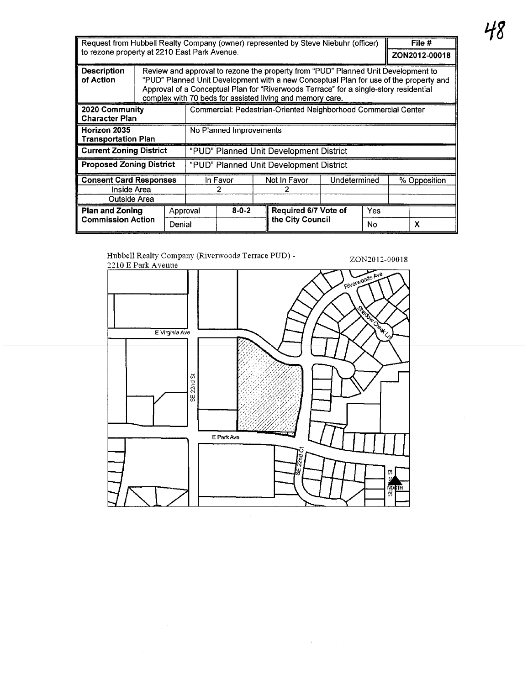| Request from Hubbell Realty Company (owner) represented by Steve Niebuhr (officer)                                                                                                                                                                                                                                                                                  |  |             |                                                                |  |                      |  | File #       |  |              |               |  |
|---------------------------------------------------------------------------------------------------------------------------------------------------------------------------------------------------------------------------------------------------------------------------------------------------------------------------------------------------------------------|--|-------------|----------------------------------------------------------------|--|----------------------|--|--------------|--|--------------|---------------|--|
| to rezone property at 2210 East Park Avenue.                                                                                                                                                                                                                                                                                                                        |  |             |                                                                |  |                      |  |              |  |              | ZON2012-00018 |  |
| Review and approval to rezone the property from "PUD" Planned Unit Development to<br><b>Description</b><br>"PUD" Planned Unit Development with a new Conceptual Plan for use of the property and<br>of Action<br>Approval of a Conceptual Plan for "Riverwoods Terrace" for a single-story residential<br>complex with 70 beds for assisted living and memory care. |  |             |                                                                |  |                      |  |              |  |              |               |  |
| 2020 Community<br><b>Character Plan</b>                                                                                                                                                                                                                                                                                                                             |  |             | Commercial: Pedestrian-Oriented Neighborhood Commercial Center |  |                      |  |              |  |              |               |  |
| Horizon 2035<br><b>Transportation Plan</b>                                                                                                                                                                                                                                                                                                                          |  |             | No Planned Improvements                                        |  |                      |  |              |  |              |               |  |
| <b>Current Zoning District</b>                                                                                                                                                                                                                                                                                                                                      |  |             | "PUD" Planned Unit Development District                        |  |                      |  |              |  |              |               |  |
| <b>Proposed Zoning District</b>                                                                                                                                                                                                                                                                                                                                     |  |             | "PUD" Planned Unit Development District                        |  |                      |  |              |  |              |               |  |
| <b>Consent Card Responses</b>                                                                                                                                                                                                                                                                                                                                       |  |             | In Favor                                                       |  | Not In Favor         |  | Undetermined |  | % Opposition |               |  |
| Inside Area                                                                                                                                                                                                                                                                                                                                                         |  |             |                                                                |  |                      |  |              |  |              |               |  |
| Outside Area                                                                                                                                                                                                                                                                                                                                                        |  |             |                                                                |  |                      |  |              |  |              |               |  |
| <b>Plan and Zoning</b><br>Approval                                                                                                                                                                                                                                                                                                                                  |  | $8 - 0 - 2$ |                                                                |  | Required 6/7 Vote of |  | Yes          |  |              |               |  |
| <b>Commission Action</b><br>Denial                                                                                                                                                                                                                                                                                                                                  |  |             |                                                                |  | the City Council     |  | No           |  | X            |               |  |

ZON2012-0001S

Hubbell Realty Company (Riverwoods Terrace PUD) -2210 E Park Avenue



 $\hat{\mathcal{A}}$ 

 $\sim 10^{-1}$ 

 $\hat{\mathcal{A}}$ 

 $\hat{\mathcal{A}}$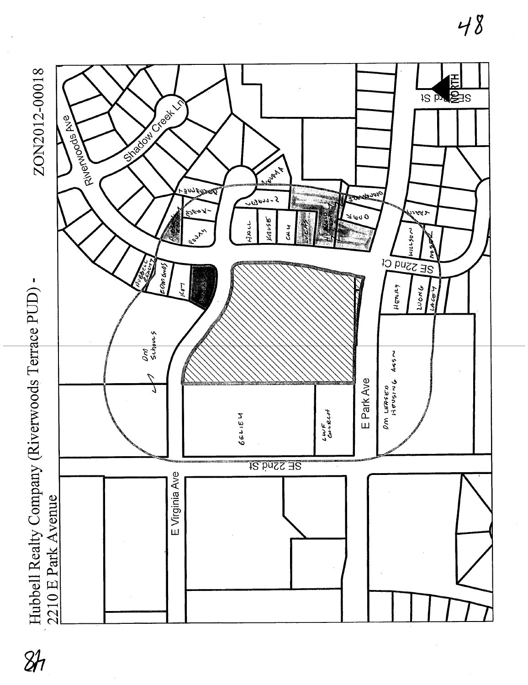

 $8h$ 

 $48$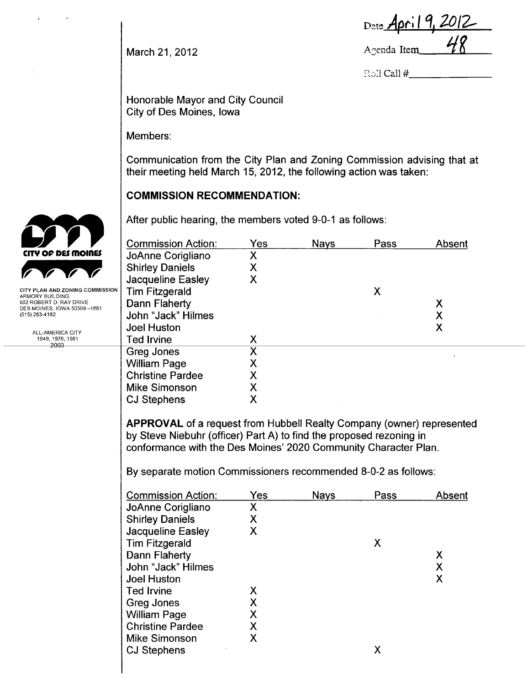| Date April 9, 2012 |    |
|--------------------|----|
| Agenda Item        | 48 |

March 21,2012

Roll Call #

Honorable Mayor and City Council City of Des Moines, Iowa

Members:

Communication from the City Plan and Zoning Commission advising that at their meeting held March 15, 2012, the following action was taken:

## **COMMISSION RECOMMENDATION:**

After public hearing, the members voted 9-0-1 as follows:

|    | <b>Commission Action:</b>                                                                                                              | Yes                            | <b>Nays</b> | Pass | Absent             |
|----|----------------------------------------------------------------------------------------------------------------------------------------|--------------------------------|-------------|------|--------------------|
|    | JoAnne Corigliano                                                                                                                      | X.                             |             |      |                    |
|    | <b>Shirley Daniels</b>                                                                                                                 | X                              |             |      |                    |
|    | Jacqueline Easley                                                                                                                      | X                              |             |      |                    |
| ЭN | <b>Tim Fitzgerald</b>                                                                                                                  |                                |             | X    |                    |
|    | Dann Flaherty                                                                                                                          |                                |             |      | X                  |
|    | John "Jack" Hilmes                                                                                                                     |                                |             |      | $\mathsf{X}% _{0}$ |
|    | <b>Joel Huston</b>                                                                                                                     |                                |             |      | X                  |
|    | <b>Ted Irvine</b>                                                                                                                      | χ                              |             |      |                    |
|    | Greg Jones                                                                                                                             | $\overline{\mathsf{x}}$        |             |      |                    |
|    | <b>William Page</b>                                                                                                                    | Χ                              |             |      |                    |
|    | <b>Christine Pardee</b>                                                                                                                | X                              |             |      |                    |
|    | <b>Mike Simonson</b>                                                                                                                   | X                              |             |      |                    |
|    | <b>CJ Stephens</b>                                                                                                                     | X                              |             |      |                    |
|    | by Steve Niebuhr (officer) Part A) to find the proposed rezoning in<br>conformance with the Des Moines' 2020 Community Character Plan. |                                |             |      |                    |
|    | By separate motion Commissioners recommended 8-0-2 as follows:                                                                         |                                |             |      |                    |
|    | <b>Commission Action:</b>                                                                                                              | Yes                            | <b>Nays</b> | Pass | Absent             |
|    | JoAnne Corigliano                                                                                                                      | X.                             |             |      |                    |
|    | <b>Shirley Daniels</b>                                                                                                                 | Χ                              |             |      |                    |
|    | Jacqueline Easley                                                                                                                      | X                              |             |      |                    |
|    | <b>Tim Fitzgerald</b>                                                                                                                  |                                |             | X    |                    |
|    | Dann Flaherty                                                                                                                          |                                |             |      | X.                 |
|    | John "Jack" Hilmes                                                                                                                     |                                |             |      | X                  |
|    | <b>Joel Huston</b>                                                                                                                     |                                |             |      | $\mathsf{X}$       |
|    | <b>Ted Irvine</b>                                                                                                                      | X                              |             |      |                    |
|    | Greg Jones                                                                                                                             | X                              |             |      |                    |
|    | <b>William Page</b>                                                                                                                    | X                              |             |      |                    |
|    | <b>Christine Pardee</b><br><b>Mike Simonson</b>                                                                                        | X<br>$\boldsymbol{\mathsf{X}}$ |             |      |                    |
|    |                                                                                                                                        |                                |             | X    |                    |
|    | <b>CJ Stephens</b>                                                                                                                     |                                |             |      |                    |



 $\epsilon$ 

ARMORY BUILDING<br>602 ROBERT D. RAY DRIVE<br>DES MOINES, IOWA 50309 –1881 (515) 283-4182

> ALL-AMERICA CITY 1949, 1976, 1981<br>2003 - 2003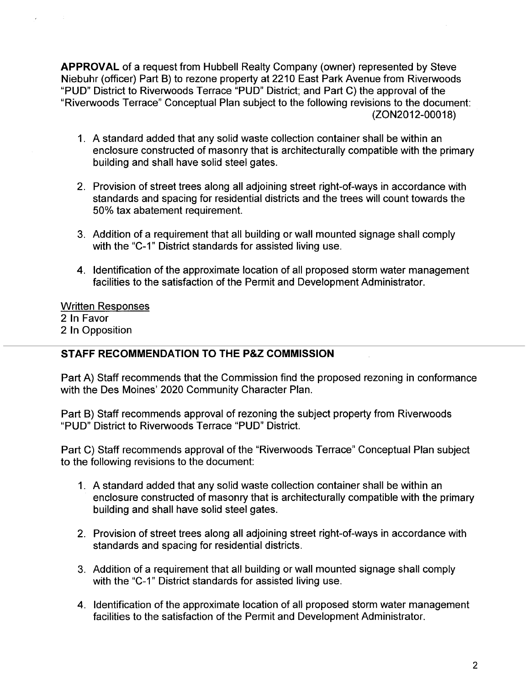APPROVAL of a request from Hubbell Realty Company (owner) represented by Steve Niebuhr (officer) Part B) to rezone property at 2210 East Park Avenue from Riverwoods "PUD" District to Riverwoods Terrace "PUD" District; and Part C) the approval of the "Riverwoods Terrace" Conceptual Plan subject to the following revisions to the document: (ZON2012-00018)

- 1. A standard added that any solid waste collection container shall be within an enclosure constructed of masonry that is architecturally compatible with the primary building and shall have solid steel gates.
- 2. Provision of street trees along all adjoining street right-of-ways in accordance with standards and spacing for residential districts and the trees will count towards the 50% tax abatement requirement.
- 3. Addition of a requirement that all building or wall mounted signage shall comply with the "C-1" District standards for assisted living use.
- 4. Identification of the approximate location of all proposed storm water management facilities to the satisfaction of the Permit and Development Administrator.

Written Responses 2 In Favor 2 In Opposition

## STAFF RECOMMENDATION TO THE P&Z COMMISSION

Part A) Staff recommends that the Commission find the proposed rezoning in conformance with the Des Moines' 2020 Community Character Plan.

Part B) Staff recommends approval of rezoning the subject property from Riverwoods "PUD" District to Riverwoods Terrace "PUD" District.

Part C) Staff recommends approval of the "Riverwoods Terrace" Conceptual Plan subject to the following revisions to the document:

- 1. A standard added that any solid waste collection container shall be within an enclosure constructed of masonry that is architecturally compatible with the primary building and shall have solid steel gates.
- 2. Provision of street trees along all adjoining street right-of-ways in accordance with standards and spacing for residential districts.
- 3. Addition of a requirement that all building or wall mounted signage shall comply with the "C-1" District standards for assisted living use.
- 4. Identification of the approximate location of all proposed storm water management facilities to the satisfaction of the Permit and Development Administrator.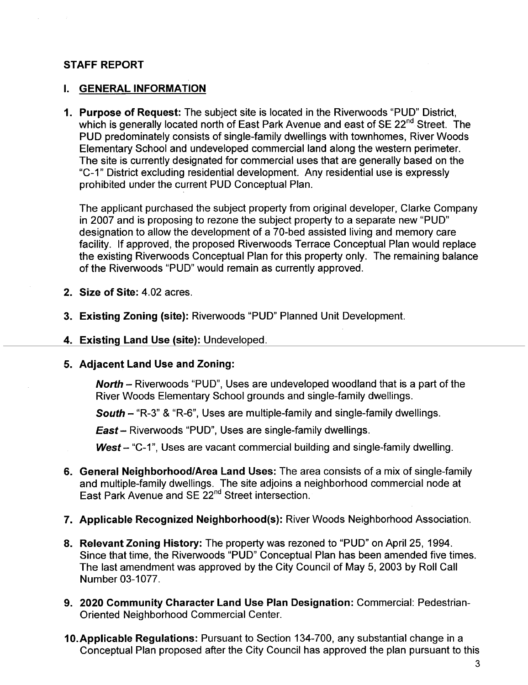#### STAFF REPORT

#### I. GENERAL INFORMATION

1. Purpose of Request: The subject site is located in the Riverwoods "PUD" District, which is generally located north of East Park Avenue and east of SE 22<sup>nd</sup> Street. The PUD predominately consists of single-family dwellings with townhomes, River Woods Elementary School and undeveloped commercial land along the western perimeter. The site is currently designated for commercial uses that are generally based on the "C\_1" District excluding residential development. Any residential use is expressly prohibited under the current PUD Conceptual Plan.

The applicant purchased the subject property from original developer, Clarke Company in 2007 and is proposing to rezone the subject property to a separate new "PUD" designation to allow the development of a 70-bed assisted living and memory care facility. If approved, the proposed Riverwoods Terrace Conceptual Plan would replace the existing Riverwoods Conceptual Plan for this property only. The remaining balance of the Riverwoods "PUD" would remain as currently approved.

- 2. Size of Site: 4.02 acres.
- 3. Existing Zoning (site): Riverwoods "PUD" Planned Unit Development.
- 4. Existing Land Use (site): Undeveloped.
- 5. Adjacent Land Use and Zoning:

North - Riverwoods "PUD", Uses are undeveloped woodland that is a part of the River Woods Elementary School grounds and single-family dwellngs.

South - "R-3" & "R-6", Uses are multiple-family and single-family dwellings.

East - Riverwoods "PUD", Uses are single-family dwellings.

**West** – "C-1", Uses are vacant commercial building and single-family dwelling.

- 6. General Neighborhood/Area Land Uses: The area consists of a mix of single-family and multiple-family dwellings. The site adjoins a neighborhood commercial node at East Park Avenue and SE 22<sup>nd</sup> Street intersection.
- 7. Applicable Recognized Neighborhood(s): River Woods Neighborhood Association.
- 8. Relevant Zoning History: The property was rezoned to "PUD" on April 25, 1994. Since that time, the Riverwoods "PUD" Conceptual Plan has been amended five times. The last amendment was approved by the City Council of May 5, 2003 by Roll Call Number 03-1077.
- 9. 2020 Community Character Land Use Plan Designation: Commercial: Pedestrian-Oriented Neighborhood Commercial Center.
- 10.Applicable Regulations: Pursuant to Section 134-700, any substantial change in a Conceptual Plan proposed after the City Council has approved the plan pursuant to this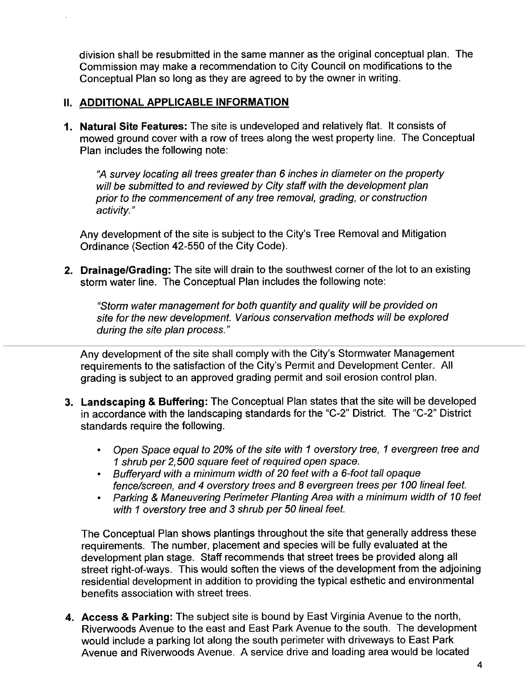division shall be resubmitted in the same manner as the original conceptual plan. The Commission may make a recommendation to City Council on modifications to the Conceptual Plan so long as they are agreed to by the owner in writing.

#### II. ADDITIONAL APPLICABLE INFORMATION

1. Natural Site Features: The site is undeveloped and relatively flat. It consists of mowed ground cover with a row of trees along the west property line. The Conceptual Plan includes the following note:

"A survey locating all trees greater than 6 inches in diameter on the property will be submitted to and reviewed by City staff with the development plan prior to the commencement of any tree removal, grading, or construction activity. "

Any development of the site is subject to the City's Tree Removal and Mitigation Ordinance (Section 42-550 of the City Code).

2. Drainage/Grading: The site will drain to the southwest corner of the lot to an existing storm water line. The Conceptual Plan includes the following note:

"Storm water management for both quantity and qualiy wil be provided on site for the new development. Various conservation methods will be explored during the site plan process."

Any development of the site shall comply with the City's Stormwater Management requirements to the satisfaction of the City's Permit and Development Center. All grading is subject to an approved grading permit and soil erosion control plan.

- 3. Landscaping & Buffering: The Conceptual Plan states that the site will be developed in accordance with the landscaping standards for the "C-2" District. The "C-2" District standards require the following.
	- · Open Space equal to 20% of the site with 1 overstory tree, 1 evergreen tree and 1 shrub per 2,500 square feet of required open space.
	- · Bufferyard with a minimum width of 20 feet with a 6-foot tall opaque fence/screen, and 4 overstory trees and 8 evergreen trees per 100 lineal feet.
	- · Parking & Maneuvering Perimeter Planting Area with a minimum width of 10 feet with 1 overstory tree and 3 shrub per 50 lineal feet.

The Conceptual Plan shows plantings throughout the site that generally address these requirements. The number, placement and species will be fully evaluated at the development plan stage. Staff recommends that street trees be provided along all street right-of-ways. This would soften the views of the development from the adjoining residential development in addition to providing the typical esthetic and environmental benefits association with street trees.

4. Access & Parking: The subject site is bound by East Virginia Avenue to the north, Riverwoods Avenue to the east and East Park Avenue to the south. The development would include a parking lot along the south perimeter with driveways to East Park Avenue and Riverwoods Avenue. A service drive and loading area would be located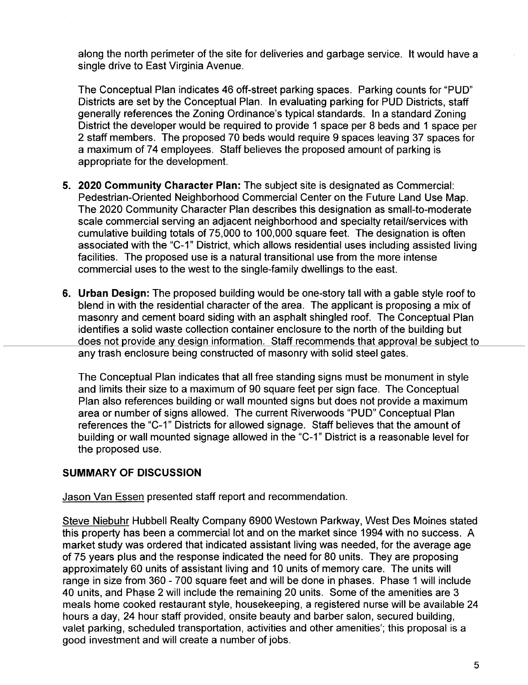along the north perimeter of the site for deliveries and garbage service. It would have a single drive to East Virginia Avenue.

The Conceptual Plan indicates 46 off-street parking spaces. Parking counts for "PUD" Districts are set by the Conceptual Plan. In evaluating parking for PUD Districts, staff generally references the Zoning Ordinance's typical standards. In a standard Zoning District the developer would be required to provide 1 space per 8 beds and 1 space per 2 staff members. The proposed 70 beds would require 9 spaces leaving 37 spaces for a maximum of 74 employees. Staff believes the proposed amount of parking is appropriate for the development.

- 5. 2020 Community Character Plan: The subject site is designated as Commercial: Pedestrian-Oriented Neighborhood Commercial Center on the Future Land Use Map. The 2020 Community Character Plan describes this designation as small-to-moderate scale commercial serving an adjacent neighborhood and specialty retail/services with cumulative building totals of 75,000 to 100,000 square feet. The designation is often associated with the "C-1" District, which allows residential uses including assisted living facilities. The proposed use is a natural transitional use from the more intense commercial uses to the west to the single-family dwellings to the east.
- 6. Urban Design: The proposed building would be one-story tall with a gable style roof to blend in with the residential character of the area. The applicant is proposing a mix of masonry and cement board siding with an asphalt shingled roof. The Conceptual Plan identifies a solid waste collection container enclosure to the north of the building but does not provide any design information. Staff recommends that approval be subject to any trash enclosure being constructed of masonry with solid steel gates.

The Conceptual Plan indicates that all free standing signs must be monument in style and limits their size to a maximum of 90 square feet per sign face. The Conceptual Plan also references building or wall mounted signs but does not provide a maximum area or number of signs allowed. The current Riverwoods "PUD" Conceptual Plan references the "C-1" Districts for allowed signage. Staff believes that the amount of building or wall mounted signage allowed in the "C-1" District is a reasonable level for the proposed use.

## SUMMARY OF DISCUSSION

Jason Van Essen presented staff report and recommendation.

Steve Niebuhr Hubbell Realty Company 6900 Westown Parkway, West Des Moines stated this property has been a commercial lot and on the market since 1994 with no success. A market study was ordered that indicated assistant living was needed, for the average age of 75 years plus and the response indicated the need for 80 units. They are proposing approximately 60 units of assistant living and 10 units of memory care. The units will range in size from 360 - 700 square feet and will be done in phases. Phase 1 will include 40 units, and Phase 2 will include the remaining 20 units. Some of the amenities are 3 meals home cooked restaurant style, housekeeping, a registered nurse will be available 24 hours a day, 24 hour staff provided, onsite beauty and barber salon, secured building, valet parking, scheduled transportation, activities and other amenities'; this proposal is a good investment and will create a number of jobs.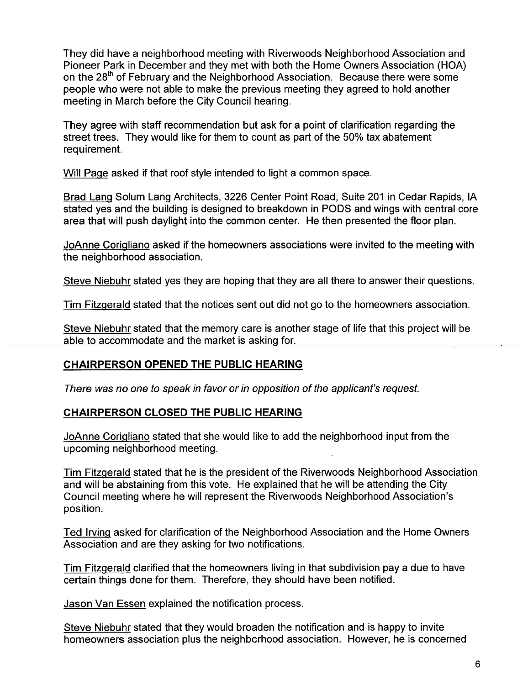They did have a neighborhood meeting with Riverwoods Neighborhood Association and Pioneer Park in December and they met with both the Home Owners Association (HOA) on the 28<sup>th</sup> of February and the Neighborhood Association. Because there were some people who were not able to make the previous meeting they agreed to hold another meeting in March before the City Council hearing.

They agree with staff recommendation but ask for a point of clarification regarding the street trees. They would like for them to count as part of the 50% tax abatement requirement.

Will Page asked if that roof style intended to light a common space.

Brad Lang Solum Lang Architects, 3226 Center Point Road, Suite 201 in Cedar Rapids, IA stated yes and the building is designed to breakdown in PODS and wings with central core area that will push daylight into the common center. He then presented the floor plan.

JoAnne CoriQliano asked if the homeowners associations were invited to the meeting with the neighborhood association.

Steve Niebuhr stated yes they are hoping that they are all there to answer their questions.

Tim FitzQerald stated that the notices sent out did not go to the homeowners association.

Steve Niebuhr stated that the memory care is another stage of life that this project will be able to accommodate and the market is asking for.

# CHAIRPERSON OPENED THE PUBLIC HEARING

There was no one to speak in favor or in opposition of the applicant's request.

## CHAIRPERSON CLOSED THE PUBLIC HEARING

JoAnne CoriQliano stated that she would like to add the neighborhood input from the upcoming neighborhood meeting.

Tim FitzQerald stated that he is the president of the Riverwoods Neighborhood Association and will be abstaining from this vote. He explained that he wil be attending the City Council meeting where he will represent the Riverwoods Neighborhood Association's position.

Ted Irving asked for clarification of the Neighborhood Association and the Home Owners Association and are they asking for two notifications.

Tim Fitzgerald clarified that the homeowners living in that subdivision pay a due to have certain things done for them. Therefore, they should have been notified.

Jason Van Essen explained the notification process.

Steve Niebuhr stated that they would broaden the notification and is happy to invite homeowners association plus the neighbcrhood association. However, he is concerned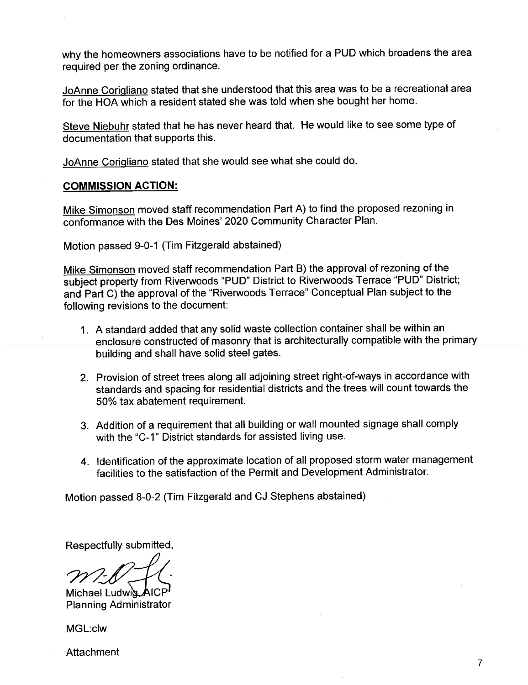why the homeowners associations have to be notified for a PUD which broadens the area required per the zoning ordinance.

JoAnne CoriQliano stated that she understood that this area was to be a recreational area for the HOA which a resident stated she was told when she bought her home.

Steve Niebuhr stated that he has never heard that. He would like to see some type of documentation that supports this.

JoAnne CoriQliano stated that she would see what she could do.

#### COMMISSION ACTION:

Mike Simonson moved staff recommendation Part A) to find the proposed rezoning in conformance with the Des Moines' 2020 Community Character Plan.

Motion passed 9-0-1 (Tim Fitzgerald abstained)

Mike Simonson moved staff recommendation Part B) the approval of rezoning of the subject property from Riverwoods "PUD" District to Riverwoods Terrace "PUD" District; and Part C) the approval of the "Riverwoods Terrace" Conceptual Plan subject to the following revisions to the document:

- 1. A standard added that any solid waste collection container shall be within an enclosure constructed of masonry that is architecturally compatible with the primary building and shall have solid steel gates.
- 2. Provision of street trees along all adjoining street right-of-ways in accordance with standards and spacing for residential districts and the trees wil count towards the 50% tax abatement requirement.
- 3. Addition of a requirement that all building or wall mounted signage shall comply with the "C-1" District standards for assisted living use.
- 4. Identification of the approximate location of all proposed storm water management facilities to the satisfaction of the Permit and Development Administrator.

Motion passed 8-0-2 (Tim Fitzgerald and CJ Stephens abstained)

Respectfully submitted,

 $m20 - 16$ 

Michael Ludwig AICP Planning Administrator

MGL:clw

Attachment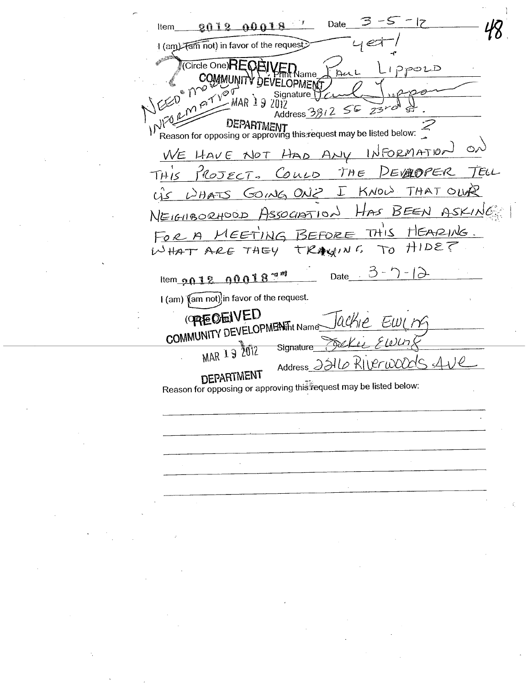Date  $\mathcal{L} = \mathcal{L}$  $0.018$  $9012$ Item I (am) Tam not) in favor of the request Circle One) IPPOLD ame  $\rho^{\gamma\gamma}$  $\delta$ ianature $\delta$ MAR 19  $55$  $23$ Address 3වී  $\nu$ DEPARTMENT<br>Reason for opposing or approving this request may be listed below: Õ, INFORMATION WE HAVE NOT HAD ANY  $THE$ DEVADPER  $MOTECT.$  $C_{OLD}$  $THIS$  $\Gamma$  $KNOV$ THAT OIL GOING ONZ  $DHATS$ ک۸) NEIGRORHOOD ASSOCIATION HAS BEEN  $THIS$ HEARING. FOR A MEETING BEFORE TO HIDE TRAWING WHAT ARE THEY Date  $3 - 7 - 12$ Item  $9018.00018$ I (am) (am not) in favor of the request. (OREOEIVED COMMUNITY DEVELOPMENTht Name lackie Ewire <u>FWLn</u> MAR 19 2012 Deller Signature Address 2216 RILPriOODIC  $\Delta$ **DEPARTMENT** Reason for opposing or approving this request may be listed below: